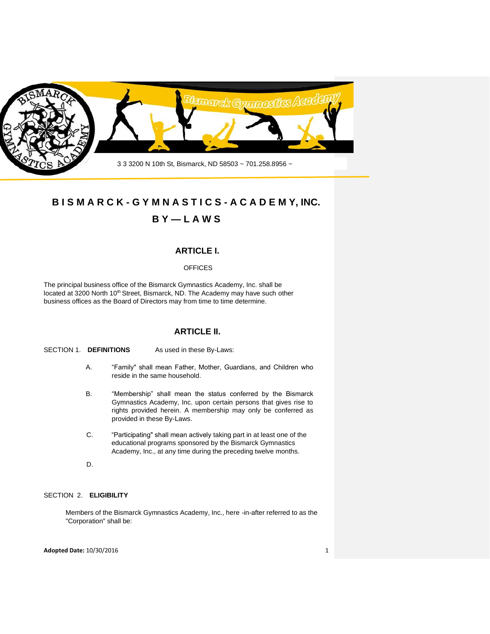

# **B I S M A R C K - G Y M N A S T I C S - A C A D E M Y, INC.**

# **B Y — L A W S**

# **ARTICLE I.**

# **OFFICES**

The principal business office of the Bismarck Gymnastics Academy, Inc. shall be located at 3200 North 10<sup>th</sup> Street, Bismarck, ND. The Academy may have such other business offices as the Board of Directors may from time to time determine.

# **ARTICLE II.**

## SECTION 1. **DEFINITIONS** As used in these By-Laws:

- A. "Family" shall mean Father, Mother, Guardians, and Children who reside in the same household.
- B. "Membership" shall mean the status conferred by the Bismarck Gymnastics Academy, Inc. upon certain persons that gives rise to rights provided herein. A membership may only be conferred as provided in these By-Laws.
- C. "Participating" shall mean actively taking part in at least one of the educational programs sponsored by the Bismarck Gymnastics Academy, Inc., at any time during the preceding twelve months.
- D.

# SECTION 2. **ELIGIBILITY**

Members of the Bismarck Gymnastics Academy, Inc., here -in-after referred to as the "Corporation" shall be:

#### **Adopted Date:** 10/30/2016 1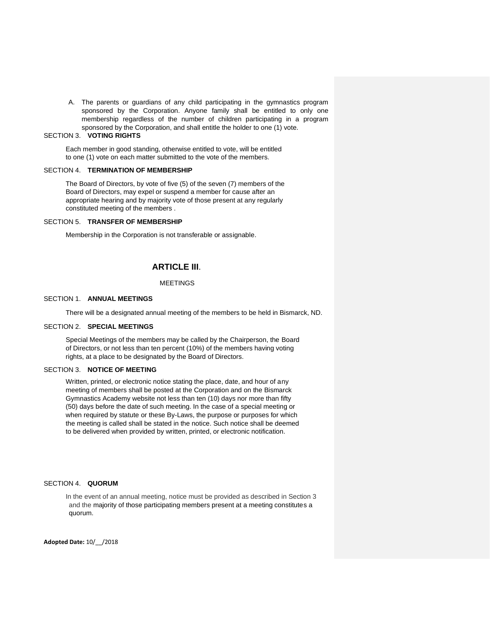A. The parents or guardians of any child participating in the gymnastics program sponsored by the Corporation. Anyone family shall be entitled to only one membership regardless of the number of children participating in a program sponsored by the Corporation, and shall entitle the holder to one (1) vote.

#### SECTION 3. **VOTING RIGHTS**

Each member in good standing, otherwise entitled to vote, will be entitled to one (1) vote on each matter submitted to the vote of the members.

#### SECTION 4. **TERMINATION OF MEMBERSHIP**

The Board of Directors, by vote of five (5) of the seven (7) members of the Board of Directors, may expel or suspend a member for cause after an appropriate hearing and by majority vote of those present at any regularly constituted meeting of the members .

#### SECTION 5. **TRANSFER OF MEMBERSHIP**

Membership in the Corporation is not transferable or assignable.

# **ARTICLE III**.

#### MEETINGS

#### SECTION 1. **ANNUAL MEETINGS**

There will be a designated annual meeting of the members to be held in Bismarck, ND.

### SECTION 2. **SPECIAL MEETINGS**

Special Meetings of the members may be called by the Chairperson, the Board of Directors, or not less than ten percent (10%) of the members having voting rights, at a place to be designated by the Board of Directors.

#### SECTION 3. **NOTICE OF MEETING**

Written, printed, or electronic notice stating the place, date, and hour of any meeting of members shall be posted at the Corporation and on the Bismarck Gymnastics Academy website not less than ten (10) days nor more than fifty (50) days before the date of such meeting. In the case of a special meeting or when required by statute or these By-Laws, the purpose or purposes for which the meeting is called shall be stated in the notice. Such notice shall be deemed to be delivered when provided by written, printed, or electronic notification.

#### SECTION 4. **QUORUM**

In the event of an annual meeting, notice must be provided as described in Section 3 and the majority of those participating members present at a meeting constitutes a quorum.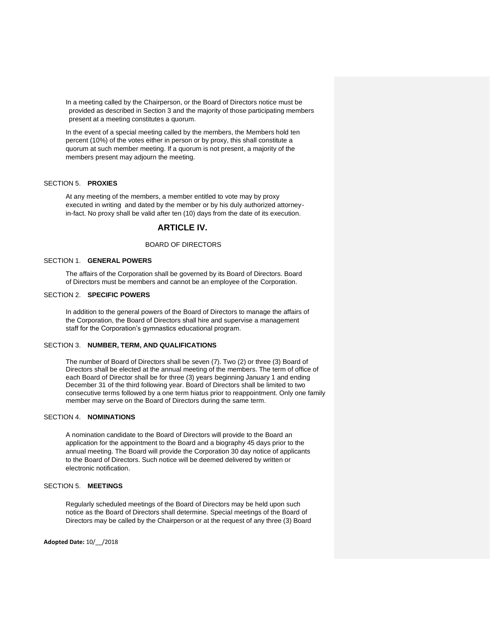In a meeting called by the Chairperson, or the Board of Directors notice must be provided as described in Section 3 and the majority of those participating members present at a meeting constitutes a quorum.

In the event of a special meeting called by the members, the Members hold ten percent (10%) of the votes either in person or by proxy, this shall constitute a quorum at such member meeting. If a quorum is not present, a majority of the members present may adjourn the meeting.

#### SECTION 5. **PROXIES**

At any meeting of the members, a member entitled to vote may by proxy executed in writing and dated by the member or by his duly authorized attorneyin-fact. No proxy shall be valid after ten (10) days from the date of its execution.

# **ARTICLE IV.**

#### BOARD OF DIRECTORS

### SECTION 1. **GENERAL POWERS**

The affairs of the Corporation shall be governed by its Board of Directors. Board of Directors must be members and cannot be an employee of the Corporation.

#### SECTION 2. **SPECIFIC POWERS**

In addition to the general powers of the Board of Directors to manage the affairs of the Corporation, the Board of Directors shall hire and supervise a management staff for the Corporation's gymnastics educational program.

#### SECTION 3. **NUMBER, TERM, AND QUALIFICATIONS**

The number of Board of Directors shall be seven (7). Two (2) or three (3) Board of Directors shall be elected at the annual meeting of the members. The term of office of each Board of Director shall be for three (3) years beginning January 1 and ending December 31 of the third following year. Board of Directors shall be limited to two consecutive terms followed by a one term hiatus prior to reappointment. Only one family member may serve on the Board of Directors during the same term.

### SECTION 4. **NOMINATIONS**

A nomination candidate to the Board of Directors will provide to the Board an application for the appointment to the Board and a biography 45 days prior to the annual meeting. The Board will provide the Corporation 30 day notice of applicants to the Board of Directors. Such notice will be deemed delivered by written or electronic notification.

# SECTION 5. **MEETINGS**

Regularly scheduled meetings of the Board of Directors may be held upon such notice as the Board of Directors shall determine. Special meetings of the Board of Directors may be called by the Chairperson or at the request of any three (3) Board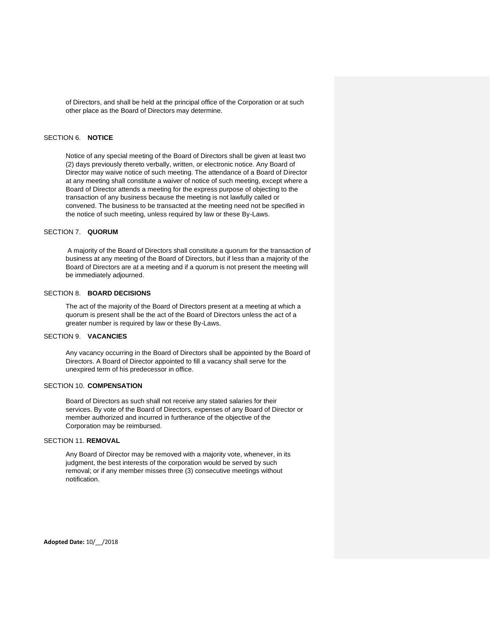of Directors, and shall be held at the principal office of the Corporation or at such other place as the Board of Directors may determine.

## SECTION 6. **NOTICE**

Notice of any special meeting of the Board of Directors shall be given at least two (2) days previously thereto verbally, written, or electronic notice. Any Board of Director may waive notice of such meeting. The attendance of a Board of Director at any meeting shall constitute a waiver of notice of such meeting, except where a Board of Director attends a meeting for the express purpose of objecting to the transaction of any business because the meeting is not lawfully called or convened. The business to be transacted at the meeting need not be specified in the notice of such meeting, unless required by law or these By-Laws.

#### SECTION 7. **QUORUM**

A majority of the Board of Directors shall constitute a quorum for the transaction of business at any meeting of the Board of Directors, but if less than a majority of the Board of Directors are at a meeting and if a quorum is not present the meeting will be immediately adjourned.

#### SECTION 8. **BOARD DECISIONS**

The act of the majority of the Board of Directors present at a meeting at which a quorum is present shall be the act of the Board of Directors unless the act of a greater number is required by law or these By-Laws.

#### SECTION 9. **VACANCIES**

Any vacancy occurring in the Board of Directors shall be appointed by the Board of Directors. A Board of Director appointed to fill a vacancy shall serve for the unexpired term of his predecessor in office.

#### SECTION 10. **COMPENSATION**

Board of Directors as such shall not receive any stated salaries for their services. By vote of the Board of Directors, expenses of any Board of Director or member authorized and incurred in furtherance of the objective of the Corporation may be reimbursed.

# SECTION 11. **REMOVAL**

Any Board of Director may be removed with a majority vote, whenever, in its judgment, the best interests of the corporation would be served by such removal; or if any member misses three (3) consecutive meetings without notification.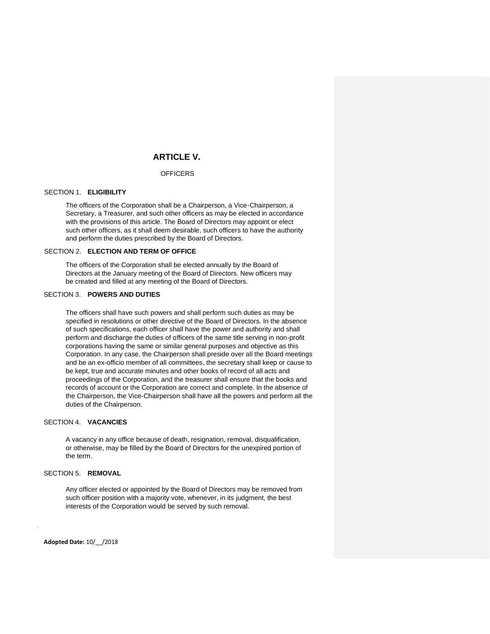# **ARTICLE V.**

#### **OFFICERS**

#### SECTION 1. **ELIGIBILITY**

The officers of the Corporation shall be a Chairperson, a Vice-Chairperson, a Secretary, a Treasurer, and such other officers as may be elected in accordance with the provisions of this article. The Board of Directors may appoint or elect such other officers, as it shall deem desirable, such officers to have the authority and perform the duties prescribed by the Board of Directors.

#### SECTION 2. **ELECTION AND TERM OF OFFICE**

The officers of the Corporation shall be elected annually by the Board of Directors at the January meeting of the Board of Directors. New officers may be created and filled at any meeting of the Board of Directors.

# SECTION 3. **POWERS AND DUTIES**

The officers shall have such powers and shall perform such duties as may be specified in resolutions or other directive of the Board of Directors. In the absence of such specifications, each officer shall have the power and authority and shall perform and discharge the duties of officers of the same title serving in non-profit corporations having the same or similar general purposes and objective as this Corporation. In any case, the Chairperson shall preside over all the Board meetings and be an ex-officio member of all committees, the secretary shall keep or cause to be kept, true and accurate minutes and other books of record of all acts and proceedings of the Corporation, and the treasurer shall ensure that the books and records of account or the Corporation are correct and complete. In the absence of the Chairperson, the Vice-Chairperson shall have all the powers and perform all the duties of the Chairperson.

# SECTION 4. **VACANCIES**

A vacancy in any office because of death, resignation, removal, disqualification, or otherwise, may be filled by the Board of Directors for the unexpired portion of the term.

# SECTION 5. **REMOVAL**

Any officer elected or appointed by the Board of Directors may be removed from such officer position with a majority vote, whenever, in its judgment, the best interests of the Corporation would be served by such removal.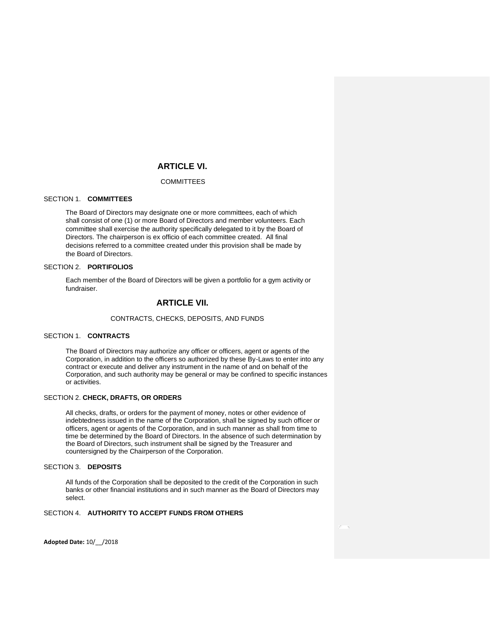# **ARTICLE VI.**

#### COMMITTEES

# SECTION 1. **COMMITTEES**

The Board of Directors may designate one or more committees, each of which shall consist of one (1) or more Board of Directors and member volunteers. Each committee shall exercise the authority specifically delegated to it by the Board of Directors. The chairperson is ex officio of each committee created*.* All final decisions referred to a committee created under this provision shall be made by the Board of Directors.

#### SECTION 2. **PORTIFOLIOS**

Each member of the Board of Directors will be given a portfolio for a gym activity or fundraiser.

# **ARTICLE VII.**

#### CONTRACTS, CHECKS, DEPOSITS, AND FUNDS

# SECTION 1. **CONTRACTS**

The Board of Directors may authorize any officer or officers, agent or agents of the Corporation, in addition to the officers so authorized by these By-Laws to enter into any contract or execute and deliver any instrument in the name of and on behalf of the Corporation, and such authority may be general or may be confined to specific instances or activities.

#### SECTION 2. **CHECK, DRAFTS, OR ORDERS**

All checks, drafts, or orders for the payment of money, notes or other evidence of indebtedness issued in the name of the Corporation, shall be signed by such officer or officers, agent or agents of the Corporation, and in such manner as shall from time to time be determined by the Board of Directors. In the absence of such determination by the Board of Directors, such instrument shall be signed by the Treasurer and countersigned by the Chairperson of the Corporation.

### SECTION 3. **DEPOSITS**

All funds of the Corporation shall be deposited to the credit of the Corporation in such banks or other financial institutions and in such manner as the Board of Directors may select.

# SECTION 4. **AUTHORITY TO ACCEPT FUNDS FROM OTHERS**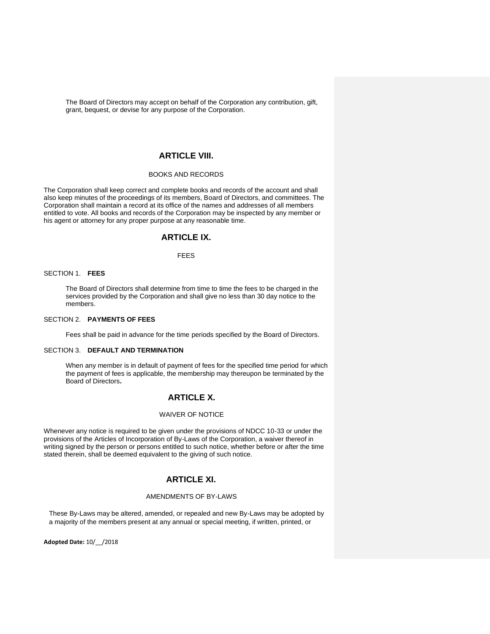The Board of Directors may accept on behalf of the Corporation any contribution, gift, grant, bequest, or devise for any purpose of the Corporation.

# **ARTICLE VIII.**

## BOOKS AND RECORDS

The Corporation shall keep correct and complete books and records of the account and shall also keep minutes of the proceedings of its members, Board of Directors, and committees. The Corporation shall maintain a record at its office of the names and addresses of all members entitled to vote. All books and records of the Corporation may be inspected by any member or his agent or attorney for any proper purpose at any reasonable time.

# **ARTICLE IX.**

# FEES

### SECTION 1. **FEES**

The Board of Directors shall determine from time to time the fees to be charged in the services provided by the Corporation and shall give no less than 30 day notice to the members.

#### SECTION 2. **PAYMENTS OF FEES**

Fees shall be paid in advance for the time periods specified by the Board of Directors.

### SECTION 3. **DEFAULT AND TERMINATION**

When any member is in default of payment of fees for the specified time period for which the payment of fees is applicable, the membership may thereupon be terminated by the Board of Directors**.** 

# **ARTICLE X.**

# WAIVER OF NOTICE

Whenever any notice is required to be given under the provisions of NDCC 10-33 or under the provisions of the Articles of Incorporation of By-Laws of the Corporation, a waiver thereof in writing signed by the person or persons entitled to such notice, whether before or after the time stated therein, shall be deemed equivalent to the giving of such notice.

# **ARTICLE XI.**

#### AMENDMENTS OF BY-LAWS

These By-Laws may be altered, amended, or repealed and new By-Laws may be adopted by a majority of the members present at any annual or special meeting, if written, printed, or